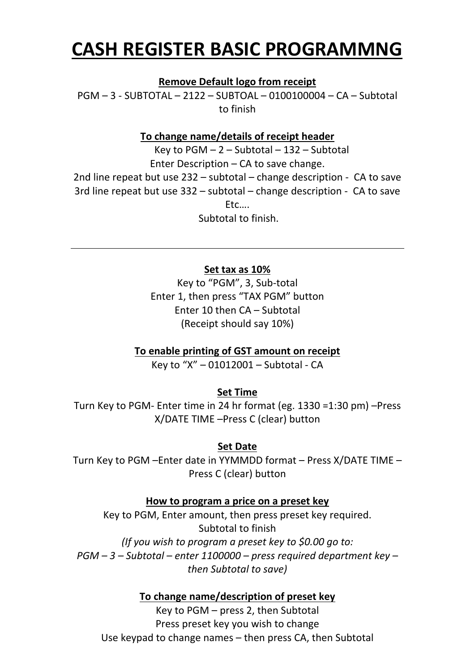## **CASH REGISTER BASIC PROGRAMMNG**

**Remove Default logo from receipt**

PGM – 3 ‐ SUBTOTAL – 2122 – SUBTOAL – 0100100004 – CA – Subtotal to finish

## **To change name/details of receipt header**

Key to  $PGM - 2 - Subtotal - 132 - Subtotal$ Enter Description – CA to save change. 2nd line repeat but use 232 – subtotal – change description ‐ CA to save 3rd line repeat but use 332 – subtotal – change description ‐ CA to save Etc…. Subtotal to finish.

**Set tax as 10%**

Key to "PGM", 3, Sub‐total Enter 1, then press "TAX PGM" button Enter 10 then CA – Subtotal (Receipt should say 10%)

**To enable printing of GST amount on receipt**

Key to "X" – 01012001 – Subtotal ‐ CA

**Set Time**

Turn Key to PGM‐ Enter time in 24 hr format (eg. 1330 =1:30 pm) –Press X/DATE TIME –Press C (clear) button

## **Set Date**

Turn Key to PGM –Enter date in YYMMDD format – Press X/DATE TIME – Press C (clear) button

**How to program a price on a preset key**

Key to PGM, Enter amount, then press preset key required. Subtotal to finish *(If you wish to program a preset key to \$0.00 go to: PGM – 3 – Subtotal – enter 1100000 – press required department key – then Subtotal to save)*

**To change name/description of preset key**

Key to PGM – press 2, then Subtotal Press preset key you wish to change Use keypad to change names – then press CA, then Subtotal